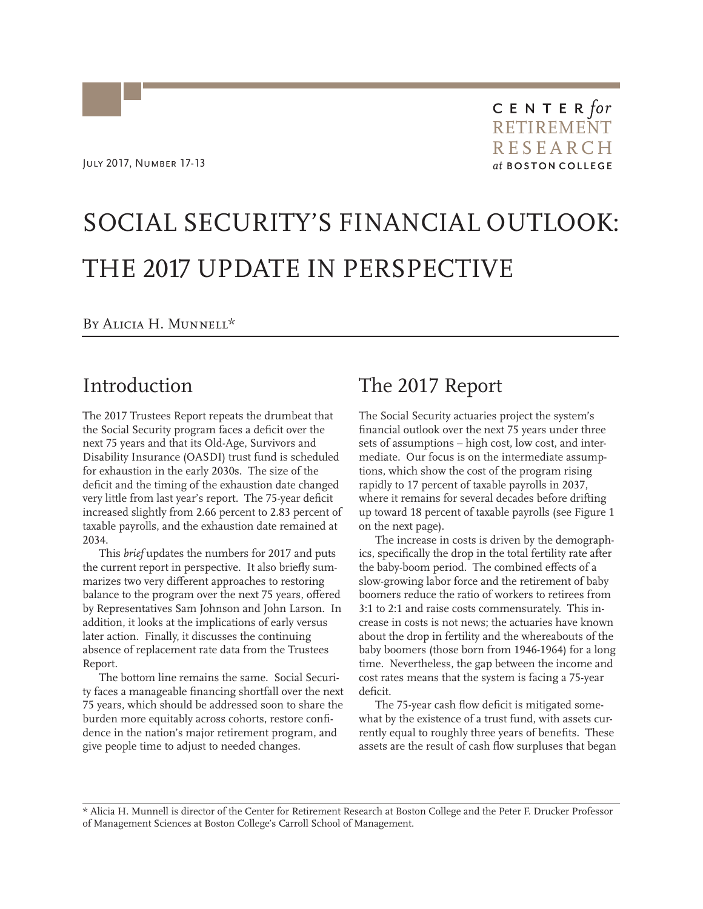July 2017, Number 17-13

CENTER for RETIREMENT RESEARCH<br>at boston college

# SOCIAL SECURITY'S FINANCIAL OUTLOOK: THE 2017 UPDATE IN PERSPECTIVE

By Alicia H. Munnell\*

# Introduction

The 2017 Trustees Report repeats the drumbeat that the Social Security program faces a deficit over the next 75 years and that its Old-Age, Survivors and Disability Insurance (OASDI) trust fund is scheduled for exhaustion in the early 2030s. The size of the deficit and the timing of the exhaustion date changed very little from last year's report. The 75-year deficit increased slightly from 2.66 percent to 2.83 percent of taxable payrolls, and the exhaustion date remained at 2034.

This *brief* updates the numbers for 2017 and puts the current report in perspective. It also briefly summarizes two very different approaches to restoring balance to the program over the next 75 years, offered by Representatives Sam Johnson and John Larson. In addition, it looks at the implications of early versus later action. Finally, it discusses the continuing absence of replacement rate data from the Trustees Report.

The bottom line remains the same. Social Security faces a manageable financing shortfall over the next 75 years, which should be addressed soon to share the burden more equitably across cohorts, restore confidence in the nation's major retirement program, and give people time to adjust to needed changes.

# The 2017 Report

The Social Security actuaries project the system's financial outlook over the next 75 years under three sets of assumptions – high cost, low cost, and intermediate. Our focus is on the intermediate assumptions, which show the cost of the program rising rapidly to 17 percent of taxable payrolls in 2037, where it remains for several decades before drifting up toward 18 percent of taxable payrolls (see Figure 1 on the next page).

The increase in costs is driven by the demographics, specifically the drop in the total fertility rate after the baby-boom period. The combined effects of a slow-growing labor force and the retirement of baby boomers reduce the ratio of workers to retirees from 3:1 to 2:1 and raise costs commensurately. This increase in costs is not news; the actuaries have known about the drop in fertility and the whereabouts of the baby boomers (those born from 1946-1964) for a long time. Nevertheless, the gap between the income and cost rates means that the system is facing a 75-year deficit.

The 75-year cash flow deficit is mitigated somewhat by the existence of a trust fund, with assets currently equal to roughly three years of benefits. These assets are the result of cash flow surpluses that began

\* Alicia H. Munnell is director of the Center for Retirement Research at Boston College and the Peter F. Drucker Professor of Management Sciences at Boston College's Carroll School of Management.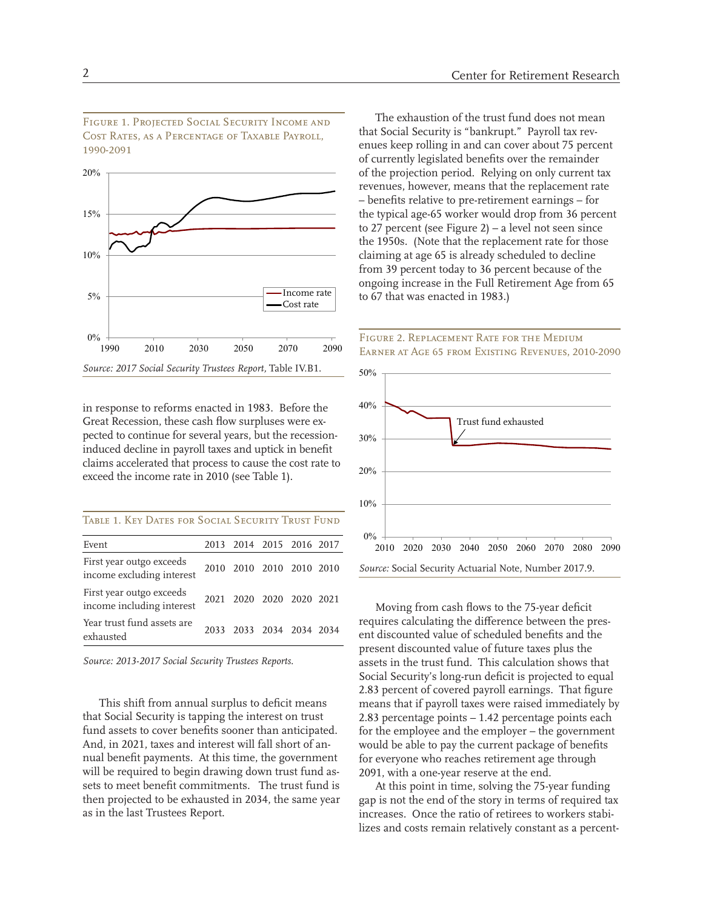Figure 1. Projected Social Security Income and Cost Rates, as a Percentage of Taxable Payroll, 1990-2091



in response to reforms enacted in 1983. Before the Great Recession, these cash flow surpluses were expected to continue for several years, but the recessioninduced decline in payroll taxes and uptick in benefit claims accelerated that process to cause the cost rate to exceed the income rate in 2010 (see Table 1).

| Table 1. Key Dates for Social Security Trust Fund     |                          |  |  |
|-------------------------------------------------------|--------------------------|--|--|
| Event                                                 | 2013 2014 2015 2016 2017 |  |  |
| First year outgo exceeds<br>income excluding interest | 2010 2010 2010 2010 2010 |  |  |
| First year outgo exceeds<br>income including interest | 2021 2020 2020 2020 2021 |  |  |
| Year trust fund assets are<br>exhausted               | 2033 2033 2034 2034 2034 |  |  |

*Source: 2013-2017 Social Security Trustees Reports.*

This shift from annual surplus to deficit means that Social Security is tapping the interest on trust fund assets to cover benefits sooner than anticipated. And, in 2021, taxes and interest will fall short of annual benefit payments. At this time, the government will be required to begin drawing down trust fund assets to meet benefit commitments. The trust fund is then projected to be exhausted in 2034, the same year as in the last Trustees Report.

The exhaustion of the trust fund does not mean that Social Security is "bankrupt." Payroll tax revenues keep rolling in and can cover about 75 percent of currently legislated benefits over the remainder of the projection period. Relying on only current tax revenues, however, means that the replacement rate – benefits relative to pre-retirement earnings – for the typical age-65 worker would drop from 36 percent to 27 percent (see Figure 2) – a level not seen since the 1950s. (Note that the replacement rate for those claiming at age 65 is already scheduled to decline from 39 percent today to 36 percent because of the ongoing increase in the Full Retirement Age from 65 to 67 that was enacted in 1983.)



Moving from cash flows to the 75-year deficit requires calculating the difference between the present discounted value of scheduled benefits and the present discounted value of future taxes plus the assets in the trust fund. This calculation shows that Social Security's long-run deficit is projected to equal 2.83 percent of covered payroll earnings. That figure means that if payroll taxes were raised immediately by 2.83 percentage points – 1.42 percentage points each for the employee and the employer – the government would be able to pay the current package of benefits for everyone who reaches retirement age through 2091, with a one-year reserve at the end.

At this point in time, solving the 75-year funding gap is not the end of the story in terms of required tax increases. Once the ratio of retirees to workers stabilizes and costs remain relatively constant as a percent-

#### Figure 2. Replacement Rate for the Medium Earner at Age 65 from Existing Revenues, 2010-2090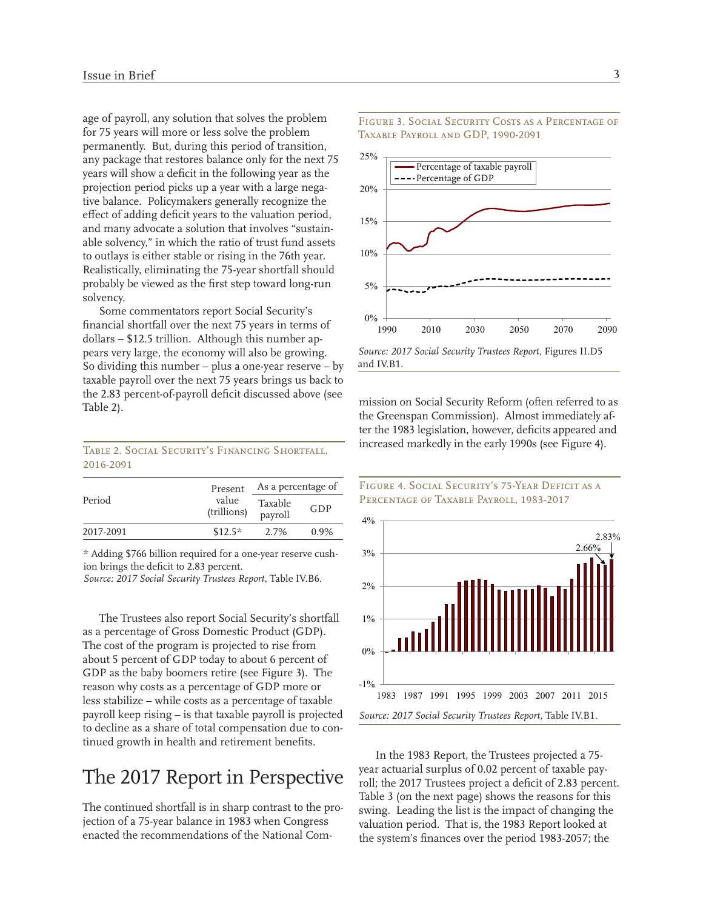age of payroll, any solution that solves the problem for 75 years will more or less solve the problem permanently. But, during this period of transition, any package that restores balance only for the next 75 years will show a deficit in the following year as the projection period picks up a year with a large negative balance. Policymakers generally recognize the effect of adding deficit years to the valuation period, and many advocate a solution that involves "sustainable solvency," in which the ratio of trust fund assets to outlays is either stable or rising in the 76th year. Realistically, eliminating the 75-year shortfall should probably be viewed as the first step toward long-run solvency.

Some commentators report Social Security's financial shortfall over the next 75 years in terms of dollars – \$12.5 trillion. Although this number appears very large, the economy will also be growing. So dividing this number – plus a one-year reserve – by taxable payroll over the next 75 years brings us back to the 2.83 percent-of-payroll deficit discussed above (see Table 2). The 200 person of payton action also associates to the mission on Social Security Reform (often referred to as

#### Table 2. Social Security's Financing Shortfall, 2016-2091

|           | Present              | As a percentage of |         |
|-----------|----------------------|--------------------|---------|
| Period    | value<br>(trillions) | Taxable<br>payroll | GDP     |
| 2017-2091 | $$12.5*$             | 2.7%               | $0.9\%$ |
|           |                      |                    |         |

\* Adding \$766 billion required for a one-year reserve cushion brings the deficit to 2.83 percent.

*Source: 2017 Social Security Trustees Report,* Table IV.B6.

The Trustees also report Social Security's shortfall as a percentage of Gross Domestic Product (GDP). The cost of the program is projected to rise from about 5 percent of GDP today to about 6 percent of GDP as the baby boomers retire (see Figure 3). The reason why costs as a percentage of GDP more or less stabilize – while costs as a percentage of taxable payroll keep rising – is that taxable payroll is projected to decline as a share of total compensation due to continued growth in health and retirement benefits.

# The 2017 Report in Perspective

The continued shortfall is in sharp contrast to the projection of a 75-year balance in 1983 when Congress enacted the recommendations of the National Com-

#### FIGURE 3. SOCIAL SECURITY COSTS AS A PERCENTAGE OF Taxable Payroll and GDP, 1990-2091



the Greenspan Commission). Almost immediately after the 1983 legislation, however, deficits appeared and increased markedly in the early 1990s (see Figure 4).

Figure 4. Social Security's 75-Year Deficit as a



In the 1983 Report, the Trustees projected a 75 year actuarial surplus of 0.02 percent of taxable payroll; the 2017 Trustees project a deficit of 2.83 percent. Table 3 (on the next page) shows the reasons for this swing. Leading the list is the impact of changing the valuation period. That is, the 1983 Report looked at the system's finances over the period 1983-2057; the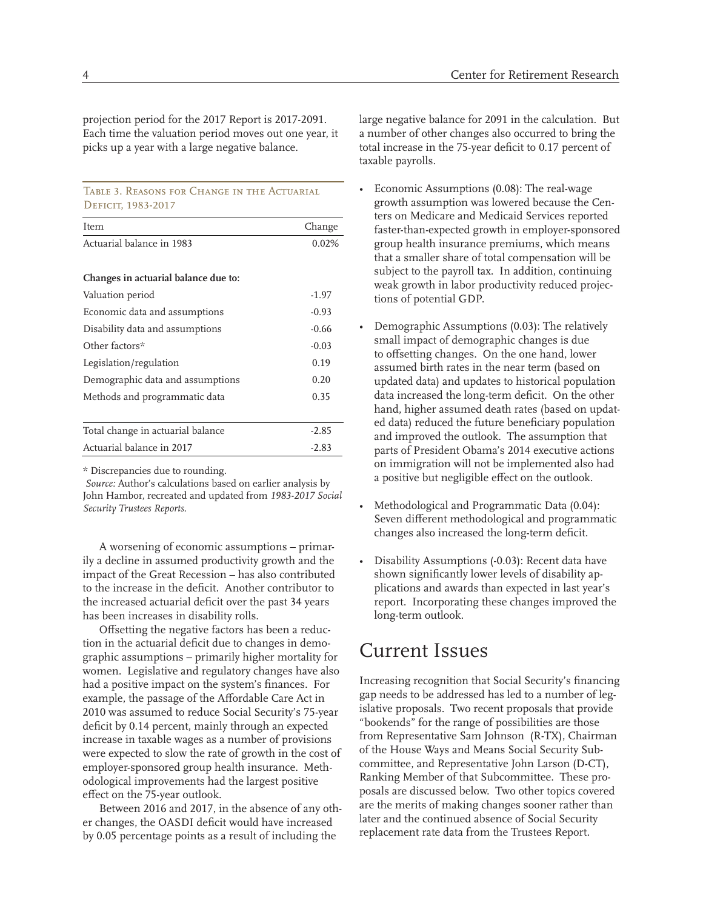projection period for the 2017 Report is 2017-2091. Each time the valuation period moves out one year, it picks up a year with a large negative balance.

Table 3. Reasons for Change in the Actuarial Deficit, 1983-2017

| Item                      | Change |
|---------------------------|--------|
| Actuarial balance in 1983 | 0.02%  |
|                           |        |

#### **Changes in actuarial balance due to:**

| Valuation period                  | $-1.97$ |
|-----------------------------------|---------|
| Economic data and assumptions     | $-0.93$ |
| Disability data and assumptions   | $-0.66$ |
| Other factors*                    | $-0.03$ |
| Legislation/regulation            | 0.19    |
| Demographic data and assumptions  | 0.20    |
| Methods and programmatic data     | 0.35    |
|                                   |         |
| Total change in actuarial balance | $-2.85$ |
| Actuarial balance in 2017         | $-2.83$ |

\* Discrepancies due to rounding.

*Source:* Author's calculations based on earlier analysis by John Hambor, recreated and updated from *1983-2017 Social Security Trustees Reports.*

A worsening of economic assumptions – primarily a decline in assumed productivity growth and the impact of the Great Recession – has also contributed to the increase in the deficit. Another contributor to the increased actuarial deficit over the past 34 years has been increases in disability rolls.

Offsetting the negative factors has been a reduction in the actuarial deficit due to changes in demographic assumptions – primarily higher mortality for women. Legislative and regulatory changes have also had a positive impact on the system's finances. For example, the passage of the Affordable Care Act in 2010 was assumed to reduce Social Security's 75-year deficit by 0.14 percent, mainly through an expected increase in taxable wages as a number of provisions were expected to slow the rate of growth in the cost of employer-sponsored group health insurance. Methodological improvements had the largest positive effect on the 75-year outlook.

Between 2016 and 2017, in the absence of any other changes, the OASDI deficit would have increased by 0.05 percentage points as a result of including the

large negative balance for 2091 in the calculation. But a number of other changes also occurred to bring the total increase in the 75-year deficit to 0.17 percent of taxable payrolls.

- Economic Assumptions (0.08): The real-wage growth assumption was lowered because the Centers on Medicare and Medicaid Services reported faster-than-expected growth in employer-sponsored group health insurance premiums, which means that a smaller share of total compensation will be subject to the payroll tax. In addition, continuing weak growth in labor productivity reduced projections of potential GDP.
- Demographic Assumptions (0.03): The relatively small impact of demographic changes is due to offsetting changes. On the one hand, lower assumed birth rates in the near term (based on updated data) and updates to historical population data increased the long-term deficit. On the other hand, higher assumed death rates (based on updated data) reduced the future beneficiary population and improved the outlook. The assumption that parts of President Obama's 2014 executive actions on immigration will not be implemented also had a positive but negligible effect on the outlook.
- Methodological and Programmatic Data (0.04): Seven different methodological and programmatic changes also increased the long-term deficit.
- Disability Assumptions (-0.03): Recent data have shown significantly lower levels of disability applications and awards than expected in last year's report. Incorporating these changes improved the long-term outlook.

# Current Issues

Increasing recognition that Social Security's financing gap needs to be addressed has led to a number of legislative proposals. Two recent proposals that provide "bookends" for the range of possibilities are those from Representative Sam Johnson (R-TX), Chairman of the House Ways and Means Social Security Subcommittee, and Representative John Larson (D-CT), Ranking Member of that Subcommittee. These proposals are discussed below. Two other topics covered are the merits of making changes sooner rather than later and the continued absence of Social Security replacement rate data from the Trustees Report.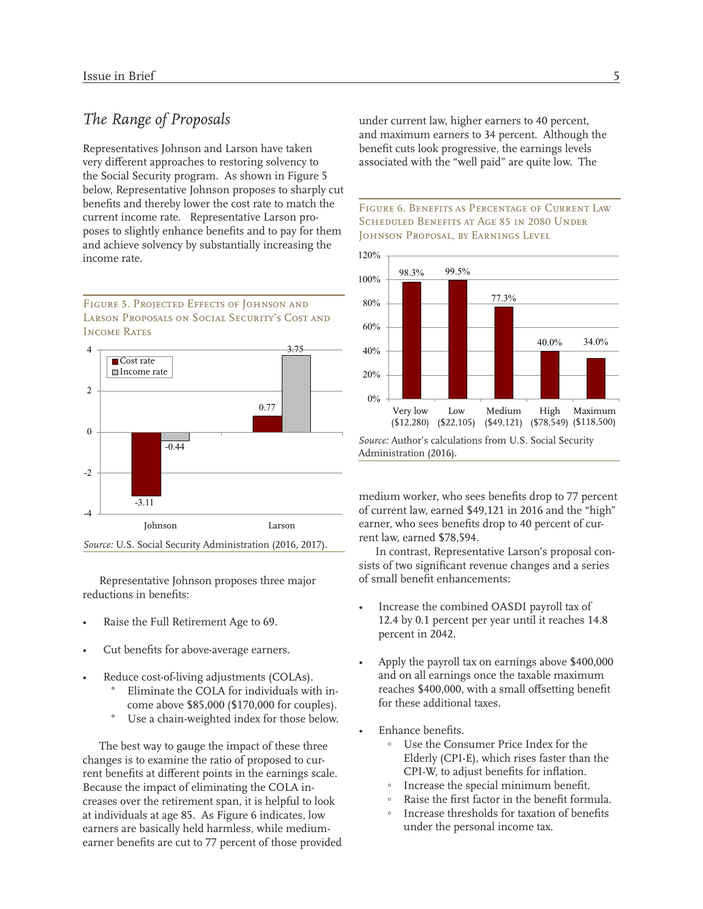## *The Range of Proposals*

Representatives Johnson and Larson have taken very different approaches to restoring solvency to the Social Security program. As shown in Figure 5 below, Representative Johnson proposes to sharply cut benefits and thereby lower the cost rate to match the current income rate. Representative Larson proposes to slightly enhance benefits and to pay for them and achieve solvency by substantially increasing the income rate.

FIGURE 5. PROJECTED EFFECTS OF JOHNSON AND Larson Proposals on Social Security's Cost and Income Rates



Representative Johnson proposes three major reductions in benefits:

- Raise the Full Retirement Age to 69.
- Cut benefits for above-average earners.
- Reduce cost-of-living adjustments (COLAs). Eliminate the COLA for individuals with income above \$85,000 (\$170,000 for couples).
	- Use a chain-weighted index for those below.

The best way to gauge the impact of these three changes is to examine the ratio of proposed to current benefits at different points in the earnings scale. Because the impact of eliminating the COLA increases over the retirement span, it is helpful to look at individuals at age 85. As Figure 6 indicates, low earners are basically held harmless, while mediumearner benefits are cut to 77 percent of those provided under current law, higher earners to 40 percent, and maximum earners to 34 percent. Although the benefit cuts look progressive, the earnings levels associated with the "well paid" are quite low. The

Figure 6. Benefits as Percentage of Current Law Scheduled Benefits at Age 85 in 2080 Under



*Source:* Author's calculations from U.S. Social Security Administration (2016).

medium worker, who sees benefits drop to 77 percent of current law, earned \$49,121 in 2016 and the "high" earner, who sees benefits drop to 40 percent of current law, earned \$78,594.

In contrast, Representative Larson's proposal consists of two significant revenue changes and a series of small benefit enhancements:

- Increase the combined OASDI payroll tax of 12.4 by 0.1 percent per year until it reaches 14.8 percent in 2042.
- Apply the payroll tax on earnings above \$400,000 and on all earnings once the taxable maximum reaches \$400,000, with a small offsetting benefit for these additional taxes.
- Enhance benefits.
	- Use the Consumer Price Index for the Elderly (CPI-E), which rises faster than the CPI-W, to adjust benefits for inflation.
	- Increase the special minimum benefit.
	- Raise the first factor in the benefit formula.
	- Increase thresholds for taxation of benefits under the personal income tax.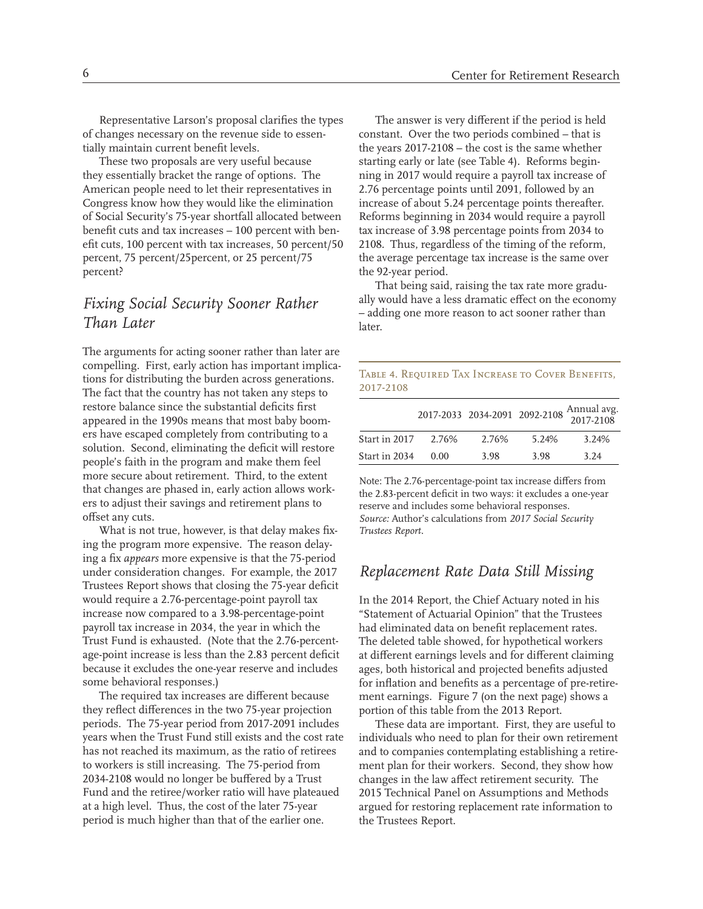Representative Larson's proposal clarifies the types of changes necessary on the revenue side to essentially maintain current benefit levels.

These two proposals are very useful because they essentially bracket the range of options. The American people need to let their representatives in Congress know how they would like the elimination of Social Security's 75-year shortfall allocated between benefit cuts and tax increases – 100 percent with benefit cuts, 100 percent with tax increases, 50 percent/50 percent, 75 percent/25percent, or 25 percent/75 percent?

## *Fixing Social Security Sooner Rather Than Later*

The arguments for acting sooner rather than later are compelling. First, early action has important implications for distributing the burden across generations. The fact that the country has not taken any steps to restore balance since the substantial deficits first appeared in the 1990s means that most baby boomers have escaped completely from contributing to a solution. Second, eliminating the deficit will restore people's faith in the program and make them feel more secure about retirement. Third, to the extent that changes are phased in, early action allows workers to adjust their savings and retirement plans to offset any cuts.

What is not true, however, is that delay makes fixing the program more expensive. The reason delaying a fix *appears* more expensive is that the 75-period under consideration changes. For example, the 2017 Trustees Report shows that closing the 75-year deficit would require a 2.76-percentage-point payroll tax increase now compared to a 3.98-percentage-point payroll tax increase in 2034, the year in which the Trust Fund is exhausted. (Note that the 2.76-percentage-point increase is less than the 2.83 percent deficit because it excludes the one-year reserve and includes some behavioral responses.)

The required tax increases are different because they reflect differences in the two 75-year projection periods. The 75-year period from 2017-2091 includes years when the Trust Fund still exists and the cost rate has not reached its maximum, as the ratio of retirees to workers is still increasing. The 75-period from 2034-2108 would no longer be buffered by a Trust Fund and the retiree/worker ratio will have plateaued at a high level. Thus, the cost of the later 75-year period is much higher than that of the earlier one.

The answer is very different if the period is held constant. Over the two periods combined – that is the years 2017-2108 – the cost is the same whether starting early or late (see Table 4). Reforms beginning in 2017 would require a payroll tax increase of 2.76 percentage points until 2091, followed by an increase of about 5.24 percentage points thereafter. Reforms beginning in 2034 would require a payroll tax increase of 3.98 percentage points from 2034 to 2108. Thus, regardless of the timing of the reform, the average percentage tax increase is the same over the 92-year period.

That being said, raising the tax rate more gradually would have a less dramatic effect on the economy – adding one more reason to act sooner rather than later.

|                                                   |  | $\Lambda$ nuul ava |
|---------------------------------------------------|--|--------------------|
| 2017-2108                                         |  |                    |
| TABLE 4. REQUIRED TAX INCREASE TO COVER BENEFITS, |  |                    |

|               |       |       |       | 2017-2033 2034-2091 2092-2108 Annual avg. |
|---------------|-------|-------|-------|-------------------------------------------|
| Start in 2017 | 2.76% | 2.76% | 5.24% | 3.24%                                     |
| Start in 2034 | 0.00  | 3.98  | 3.98  | 3.24                                      |
|               |       |       |       |                                           |

Note: The 2.76-percentage-point tax increase differs from the 2.83-percent deficit in two ways: it excludes a one-year reserve and includes some behavioral responses. *Source:* Author's calculations from *2017 Social Security Trustees Report.*

### *Replacement Rate Data Still Missing*

In the 2014 Report, the Chief Actuary noted in his "Statement of Actuarial Opinion" that the Trustees had eliminated data on benefit replacement rates. The deleted table showed, for hypothetical workers at different earnings levels and for different claiming ages, both historical and projected benefits adjusted for inflation and benefits as a percentage of pre-retirement earnings. Figure 7 (on the next page) shows a portion of this table from the 2013 Report.

These data are important. First, they are useful to individuals who need to plan for their own retirement and to companies contemplating establishing a retirement plan for their workers. Second, they show how changes in the law affect retirement security. The 2015 Technical Panel on Assumptions and Methods argued for restoring replacement rate information to the Trustees Report.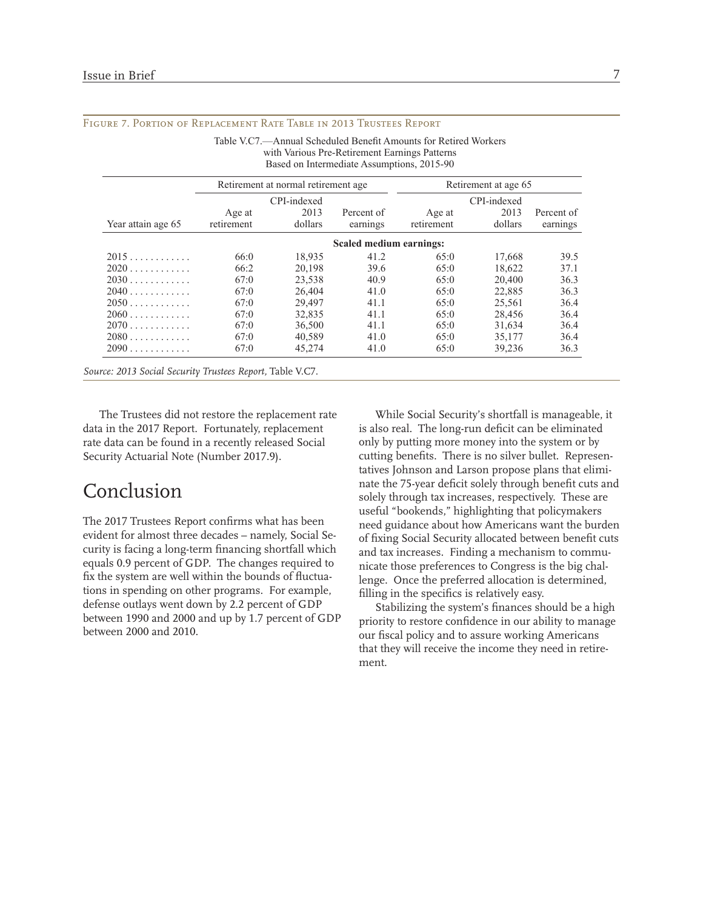|                    | Retirement at normal retirement age |         | Retirement at age 65    |            |             |            |  |
|--------------------|-------------------------------------|---------|-------------------------|------------|-------------|------------|--|
|                    | CPI-indexed                         |         |                         |            | CPI-indexed |            |  |
|                    | Age at                              | 2013    | Percent of              | Age at     | 2013        | Percent of |  |
| Year attain age 65 | retirement                          | dollars | earnings                | retirement | dollars     | earnings   |  |
|                    |                                     |         | Scaled medium earnings: |            |             |            |  |
| 2015               | 66:0                                | 18,935  | 41.2                    | 65:0       | 17,668      | 39.5       |  |
| 2020               | 66:2                                | 20,198  | 39.6                    | 65:0       | 18.622      | 37.1       |  |
| 2030               | 67:0                                | 23,538  | 40.9                    | 65:0       | 20,400      | 36.3       |  |
| $2040$             | 67:0                                | 26,404  | 41.0                    | 65:0       | 22,885      | 36.3       |  |
| 2050               | 67:0                                | 29.497  | 41.1                    | 65:0       | 25,561      | 36.4       |  |
| 2060               | 67:0                                | 32,835  | 41.1                    | 65:0       | 28,456      | 36.4       |  |
| 2070               | 67:0                                | 36,500  | 41.1                    | 65:0       | 31,634      | 36.4       |  |
| 2080               | 67:0                                | 40,589  | 41.0                    | 65:0       | 35,177      | 36.4       |  |
| 2090               | 67:0                                | 45,274  | 41.0                    | 65:0       | 39,236      | 36.3       |  |

Figure 7. Portion of Replacement Rate Table in 2013 Trustees Report

Table V.C7.—Annual Scheduled Benefit Amounts for Retired Workers with Various Pre-Retirement Earnings Patterns Based on Intermediate Assumptions, 2015-90

*Source: 2013 Social Security Trustees Report,* Table V.C7.

The Trustees did not restore the replacement rate data in the 2017 Report. Fortunately, replacement rate data can be found in a recently released Social Security Actuarial Note (Number 2017.9).

# Conclusion

The 2017 Trustees Report confirms what has been evident for almost three decades – namely, Social Security is facing a long-term financing shortfall which equals 0.9 percent of GDP. The changes required to fix the system are well within the bounds of fluctuations in spending on other programs. For example, defense outlays went down by 2.2 percent of GDP between 1990 and 2000 and up by 1.7 percent of GDP between 2000 and 2010.

While Social Security's shortfall is manageable, it is also real. The long-run deficit can be eliminated only by putting more money into the system or by cutting benefits. There is no silver bullet. Representatives Johnson and Larson propose plans that eliminate the 75-year deficit solely through benefit cuts and solely through tax increases, respectively. These are useful "bookends," highlighting that policymakers need guidance about how Americans want the burden of fixing Social Security allocated between benefit cuts and tax increases. Finding a mechanism to communicate those preferences to Congress is the big challenge. Once the preferred allocation is determined, filling in the specifics is relatively easy.

Stabilizing the system's finances should be a high priority to restore confidence in our ability to manage our fiscal policy and to assure working Americans that they will receive the income they need in retirement.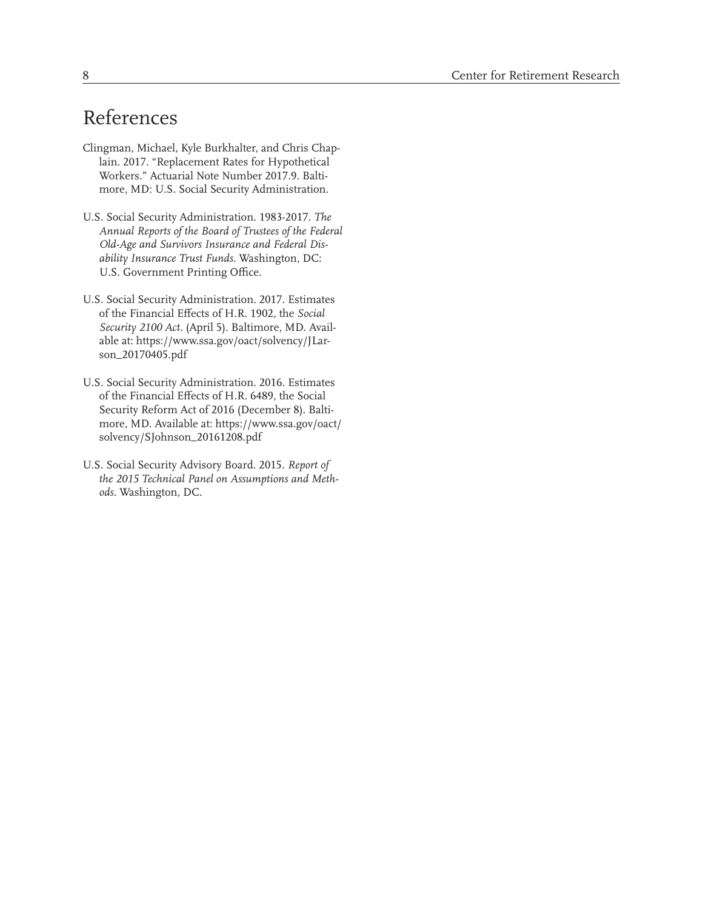# References

- Clingman, Michael, Kyle Burkhalter, and Chris Chaplain. 2017. "Replacement Rates for Hypothetical Workers." Actuarial Note Number 2017.9. Baltimore, MD: U.S. Social Security Administration.
- U.S. Social Security Administration. 1983-2017. *The Annual Reports of the Board of Trustees of the Federal Old-Age and Survivors Insurance and Federal Disability Insurance Trust Funds.* Washington, DC: U.S. Government Printing Office.
- U.S. Social Security Administration. 2017. Estimates of the Financial Effects of H.R. 1902, the *Social Security 2100 Act.* (April 5). Baltimore, MD. Available at: https://www.ssa.gov/oact/solvency/JLarson\_20170405.pdf
- U.S. Social Security Administration. 2016. Estimates of the Financial Effects of H.R. 6489, the Social Security Reform Act of 2016 (December 8). Baltimore, MD. Available at: https://www.ssa.gov/oact/ solvency/SJohnson\_20161208.pdf
- U.S. Social Security Advisory Board. 2015. *Report of the 2015 Technical Panel on Assumptions and Methods.* Washington, DC.